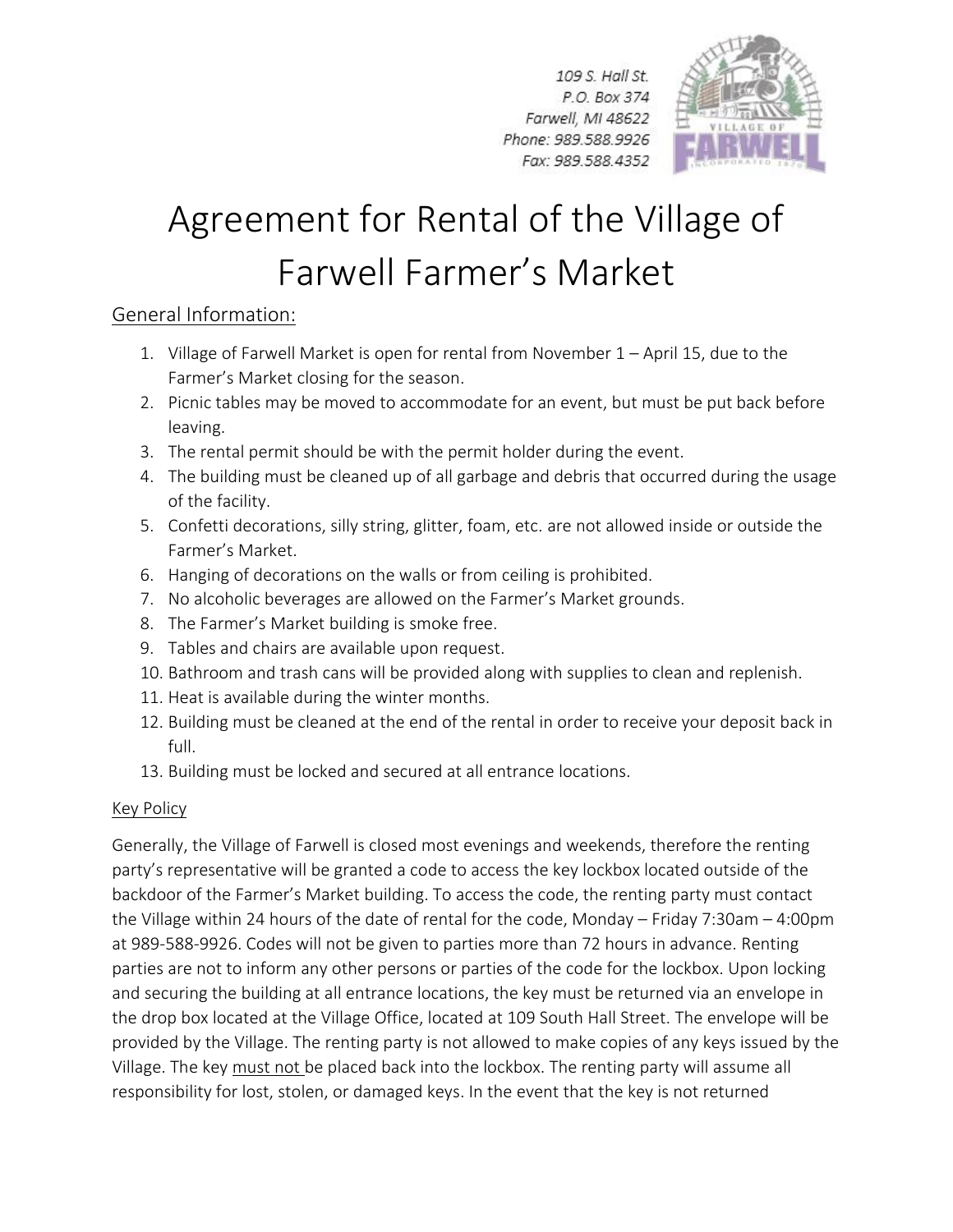109 S. Hall St. P.O. Box 374 Farwell, MI 48622 Phone: 989.588.9926 Fax: 989.588.4352



## Agreement for Rental of the Village of Farwell Farmer's Market

## General Information:

- 1. Village of Farwell Market is open for rental from November 1 April 15, due to the Farmer's Market closing for the season.
- 2. Picnic tables may be moved to accommodate for an event, but must be put back before leaving.
- 3. The rental permit should be with the permit holder during the event.
- 4. The building must be cleaned up of all garbage and debris that occurred during the usage of the facility.
- 5. Confetti decorations, silly string, glitter, foam, etc. are not allowed inside or outside the Farmer's Market.
- 6. Hanging of decorations on the walls or from ceiling is prohibited.
- 7. No alcoholic beverages are allowed on the Farmer's Market grounds.
- 8. The Farmer's Market building is smoke free.
- 9. Tables and chairs are available upon request.
- 10. Bathroom and trash cans will be provided along with supplies to clean and replenish.
- 11. Heat is available during the winter months.
- 12. Building must be cleaned at the end of the rental in order to receive your deposit back in full.
- 13. Building must be locked and secured at all entrance locations.

## Key Policy

Generally, the Village of Farwell is closed most evenings and weekends, therefore the renting party's representative will be granted a code to access the key lockbox located outside of the backdoor of the Farmer's Market building. To access the code, the renting party must contact the Village within 24 hours of the date of rental for the code, Monday – Friday 7:30am – 4:00pm at 989-588-9926. Codes will not be given to parties more than 72 hours in advance. Renting parties are not to inform any other persons or parties of the code for the lockbox. Upon locking and securing the building at all entrance locations, the key must be returned via an envelope in the drop box located at the Village Office, located at 109 South Hall Street. The envelope will be provided by the Village. The renting party is not allowed to make copies of any keys issued by the Village. The key must not be placed back into the lockbox. The renting party will assume all responsibility for lost, stolen, or damaged keys. In the event that the key is not returned